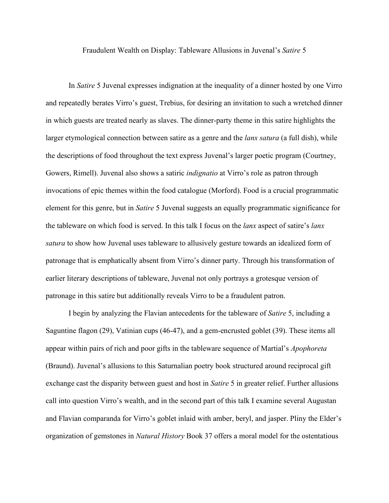Fraudulent Wealth on Display: Tableware Allusions in Juvenal's *Satire* 5

In *Satire* 5 Juvenal expresses indignation at the inequality of a dinner hosted by one Virro and repeatedly berates Virro's guest, Trebius, for desiring an invitation to such a wretched dinner in which guests are treated nearly as slaves. The dinner-party theme in this satire highlights the larger etymological connection between satire as a genre and the *lanx satura* (a full dish), while the descriptions of food throughout the text express Juvenal's larger poetic program (Courtney, Gowers, Rimell). Juvenal also shows a satiric *indignatio* at Virro's role as patron through invocations of epic themes within the food catalogue (Morford). Food is a crucial programmatic element for this genre, but in *Satire* 5 Juvenal suggests an equally programmatic significance for the tableware on which food is served. In this talk I focus on the *lanx* aspect of satire's *lanx satura* to show how Juvenal uses tableware to allusively gesture towards an idealized form of patronage that is emphatically absent from Virro's dinner party. Through his transformation of earlier literary descriptions of tableware, Juvenal not only portrays a grotesque version of patronage in this satire but additionally reveals Virro to be a fraudulent patron.

I begin by analyzing the Flavian antecedents for the tableware of *Satire* 5, including a Saguntine flagon (29), Vatinian cups (46-47), and a gem-encrusted goblet (39). These items all appear within pairs of rich and poor gifts in the tableware sequence of Martial's *Apophoreta*  (Braund). Juvenal's allusions to this Saturnalian poetry book structured around reciprocal gift exchange cast the disparity between guest and host in *Satire* 5 in greater relief. Further allusions call into question Virro's wealth, and in the second part of this talk I examine several Augustan and Flavian comparanda for Virro's goblet inlaid with amber, beryl, and jasper. Pliny the Elder's organization of gemstones in *Natural History* Book 37 offers a moral model for the ostentatious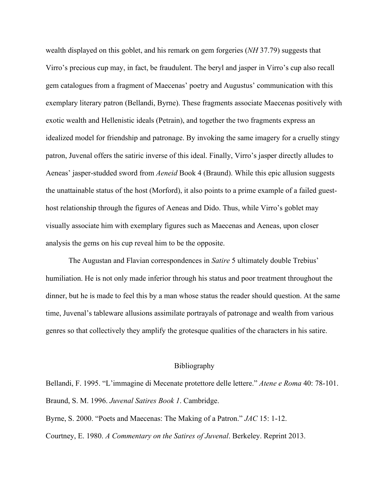wealth displayed on this goblet, and his remark on gem forgeries (*NH* 37.79) suggests that Virro's precious cup may, in fact, be fraudulent. The beryl and jasper in Virro's cup also recall gem catalogues from a fragment of Maecenas' poetry and Augustus' communication with this exemplary literary patron (Bellandi, Byrne). These fragments associate Maecenas positively with exotic wealth and Hellenistic ideals (Petrain), and together the two fragments express an idealized model for friendship and patronage. By invoking the same imagery for a cruelly stingy patron, Juvenal offers the satiric inverse of this ideal. Finally, Virro's jasper directly alludes to Aeneas' jasper-studded sword from *Aeneid* Book 4 (Braund). While this epic allusion suggests the unattainable status of the host (Morford), it also points to a prime example of a failed guesthost relationship through the figures of Aeneas and Dido. Thus, while Virro's goblet may visually associate him with exemplary figures such as Maecenas and Aeneas, upon closer analysis the gems on his cup reveal him to be the opposite.

The Augustan and Flavian correspondences in *Satire* 5 ultimately double Trebius' humiliation. He is not only made inferior through his status and poor treatment throughout the dinner, but he is made to feel this by a man whose status the reader should question. At the same time, Juvenal's tableware allusions assimilate portrayals of patronage and wealth from various genres so that collectively they amplify the grotesque qualities of the characters in his satire.

## Bibliography

Bellandi, F. 1995. "L'immagine di Mecenate protettore delle lettere." *Atene e Roma* 40: 78-101. Braund, S. M. 1996. *Juvenal Satires Book 1*. Cambridge.

Byrne, S. 2000. "Poets and Maecenas: The Making of a Patron." *JAC* 15: 1-12.

Courtney, E. 1980. *A Commentary on the Satires of Juvenal*. Berkeley. Reprint 2013.